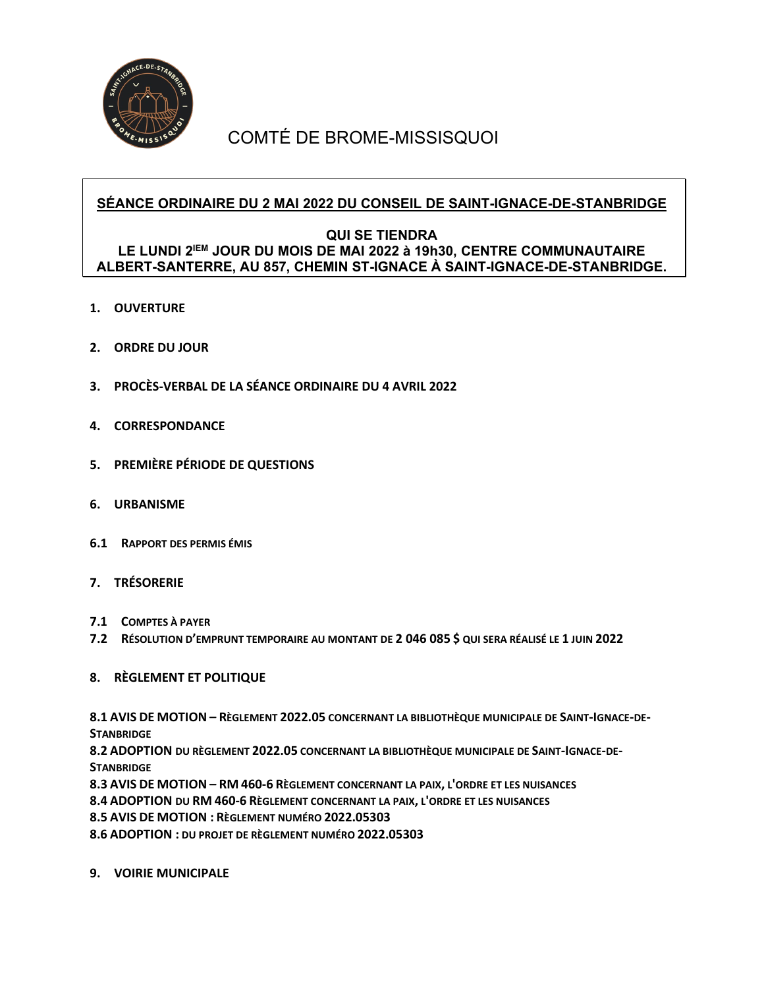

## COMTÉ DE BROME-MISSISQUOI

### **SÉANCE ORDINAIRE DU 2 MAI 2022 DU CONSEIL DE SAINT-IGNACE-DE-STANBRIDGE**

#### **QUI SE TIENDRA LE LUNDI 2IEM JOUR DU MOIS DE MAI 2022 à 19h30, CENTRE COMMUNAUTAIRE ALBERT-SANTERRE, AU 857, CHEMIN ST-IGNACE À SAINT-IGNACE-DE-STANBRIDGE.**

- **1. OUVERTURE**
- **2. ORDRE DU JOUR**
- **3. PROCÈS-VERBAL DE LA SÉANCE ORDINAIRE DU 4 AVRIL 2022**
- **4. CORRESPONDANCE**
- **5. PREMIÈRE PÉRIODE DE QUESTIONS**
- **6. URBANISME**
- **6.1 RAPPORT DES PERMIS ÉMIS**
- **7. TRÉSORERIE**
- **7.1 COMPTES À PAYER**
- **7.2 RÉSOLUTION D'EMPRUNT TEMPORAIRE AU MONTANT DE 2 046 085 \$ QUI SERA RÉALISÉ LE 1 JUIN 2022**

#### **8. RÈGLEMENT ET POLITIQUE**

**8.1 AVIS DE MOTION – RÈGLEMENT 2022.05 CONCERNANT LA BIBLIOTHÈQUE MUNICIPALE DE SAINT-IGNACE-DE-STANBRIDGE**

**8.2 ADOPTION DU RÈGLEMENT 2022.05 CONCERNANT LA BIBLIOTHÈQUE MUNICIPALE DE SAINT-IGNACE-DE-STANBRIDGE**

**8.3 AVIS DE MOTION – RM 460-6 RÈGLEMENT CONCERNANT LA PAIX, L'ORDRE ET LES NUISANCES**

**8.4 ADOPTION DU RM 460-6 RÈGLEMENT CONCERNANT LA PAIX, L'ORDRE ET LES NUISANCES**

**8.5 AVIS DE MOTION : RÈGLEMENT NUMÉRO 2022.05303**

**8.6 ADOPTION : DU PROJET DE RÈGLEMENT NUMÉRO 2022.05303**

**9. VOIRIE MUNICIPALE**